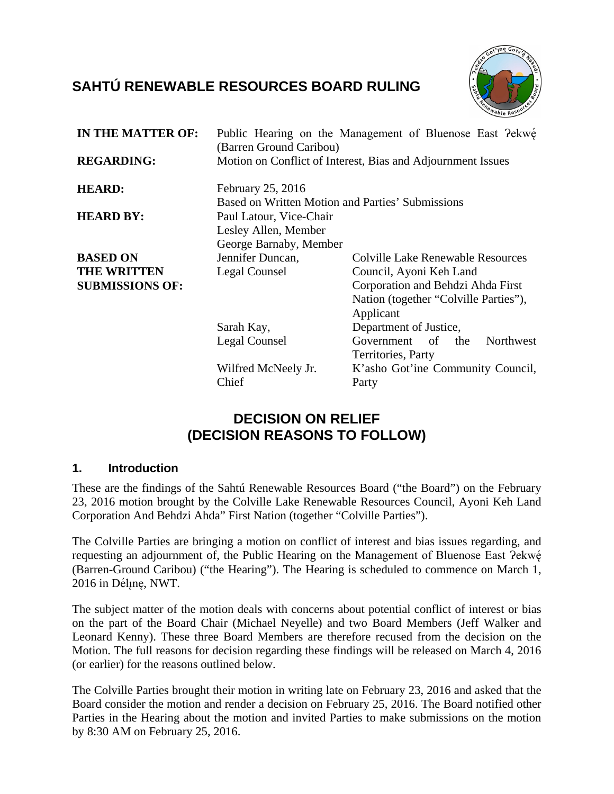# **SAHTÚ RENEWABLE RESOURCES BOARD RULING**



| <b>IN THE MATTER OF:</b> | (Barren Ground Caribou)                          | Public Hearing on the Management of Bluenose East ?ekwe     |
|--------------------------|--------------------------------------------------|-------------------------------------------------------------|
| <b>REGARDING:</b>        |                                                  | Motion on Conflict of Interest, Bias and Adjournment Issues |
| <b>HEARD:</b>            | February 25, 2016                                |                                                             |
|                          | Based on Written Motion and Parties' Submissions |                                                             |
| <b>HEARD BY:</b>         | Paul Latour, Vice-Chair                          |                                                             |
|                          | Lesley Allen, Member                             |                                                             |
|                          | George Barnaby, Member                           |                                                             |
| <b>BASED ON</b>          | Jennifer Duncan,                                 | <b>Colville Lake Renewable Resources</b>                    |
| <b>THE WRITTEN</b>       | Legal Counsel                                    | Council, Ayoni Keh Land                                     |
| <b>SUBMISSIONS OF:</b>   |                                                  | Corporation and Behdzi Ahda First                           |
|                          |                                                  | Nation (together "Colville Parties"),                       |
|                          |                                                  | Applicant                                                   |
|                          | Sarah Kay,                                       | Department of Justice,                                      |
|                          | Legal Counsel                                    | Government of<br>Northwest<br>the                           |
|                          |                                                  | Territories, Party                                          |
|                          | Wilfred McNeely Jr.                              | K'asho Got'ine Community Council,                           |
|                          | Chief                                            | Party                                                       |
|                          |                                                  |                                                             |

## **DECISION ON RELIEF (DECISION REASONS TO FOLLOW)**

#### **1. Introduction**

These are the findings of the Sahtú Renewable Resources Board ("the Board") on the February 23, 2016 motion brought by the Colville Lake Renewable Resources Council, Ayoni Keh Land Corporation And Behdzi Ahda" First Nation (together "Colville Parties").

The Colville Parties are bringing a motion on conflict of interest and bias issues regarding, and requesting an adjournment of, the Public Hearing on the Management of Bluenose East ?ekwę́ (Barren-Ground Caribou) ("the Hearing"). The Hearing is scheduled to commence on March 1, 2016 in Délįnę, NWT.

The subject matter of the motion deals with concerns about potential conflict of interest or bias on the part of the Board Chair (Michael Neyelle) and two Board Members (Jeff Walker and Leonard Kenny). These three Board Members are therefore recused from the decision on the Motion. The full reasons for decision regarding these findings will be released on March 4, 2016 (or earlier) for the reasons outlined below.

The Colville Parties brought their motion in writing late on February 23, 2016 and asked that the Board consider the motion and render a decision on February 25, 2016. The Board notified other Parties in the Hearing about the motion and invited Parties to make submissions on the motion by 8:30 AM on February 25, 2016.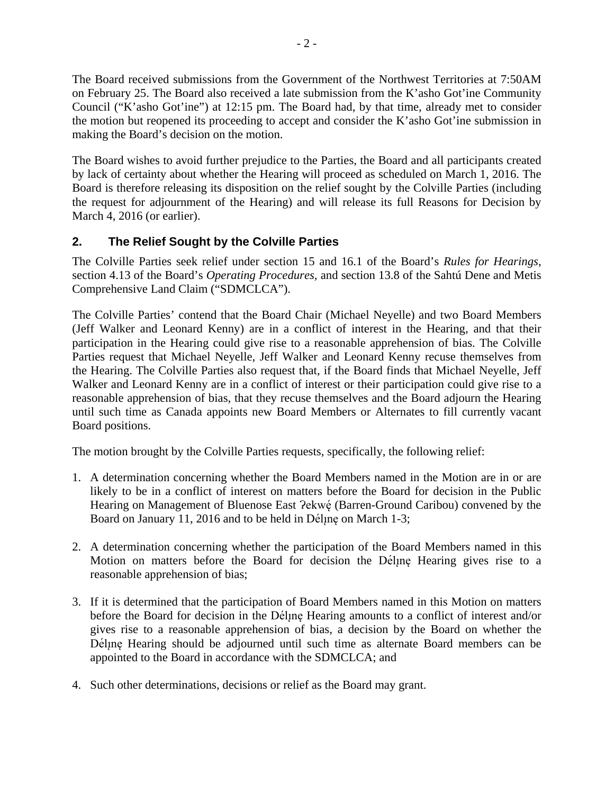The Board received submissions from the Government of the Northwest Territories at 7:50AM on February 25. The Board also received a late submission from the K'asho Got'ine Community Council ("K'asho Got'ine") at 12:15 pm. The Board had, by that time, already met to consider the motion but reopened its proceeding to accept and consider the K'asho Got'ine submission in making the Board's decision on the motion.

The Board wishes to avoid further prejudice to the Parties, the Board and all participants created by lack of certainty about whether the Hearing will proceed as scheduled on March 1, 2016. The Board is therefore releasing its disposition on the relief sought by the Colville Parties (including the request for adjournment of the Hearing) and will release its full Reasons for Decision by March 4, 2016 (or earlier).

### **2. The Relief Sought by the Colville Parties**

The Colville Parties seek relief under section 15 and 16.1 of the Board's *Rules for Hearings*, section 4.13 of the Board's *Operating Procedures,* and section 13.8 of the Sahtú Dene and Metis Comprehensive Land Claim ("SDMCLCA").

The Colville Parties' contend that the Board Chair (Michael Neyelle) and two Board Members (Jeff Walker and Leonard Kenny) are in a conflict of interest in the Hearing, and that their participation in the Hearing could give rise to a reasonable apprehension of bias. The Colville Parties request that Michael Neyelle, Jeff Walker and Leonard Kenny recuse themselves from the Hearing. The Colville Parties also request that, if the Board finds that Michael Neyelle, Jeff Walker and Leonard Kenny are in a conflict of interest or their participation could give rise to a reasonable apprehension of bias, that they recuse themselves and the Board adjourn the Hearing until such time as Canada appoints new Board Members or Alternates to fill currently vacant Board positions.

The motion brought by the Colville Parties requests, specifically, the following relief:

- 1. A determination concerning whether the Board Members named in the Motion are in or are likely to be in a conflict of interest on matters before the Board for decision in the Public Hearing on Management of Bluenose East ?ekwé (Barren-Ground Caribou) convened by the Board on January 11, 2016 and to be held in Dél<sub>l</sub>ne on March 1-3;
- 2. A determination concerning whether the participation of the Board Members named in this Motion on matters before the Board for decision the Dél<sub>l</sub>ne Hearing gives rise to a reasonable apprehension of bias;
- 3. If it is determined that the participation of Board Members named in this Motion on matters before the Board for decision in the Dél<sub>l</sub>ne Hearing amounts to a conflict of interest and/or gives rise to a reasonable apprehension of bias, a decision by the Board on whether the Dél<sub>l</sub>ne Hearing should be adjourned until such time as alternate Board members can be appointed to the Board in accordance with the SDMCLCA; and
- 4. Such other determinations, decisions or relief as the Board may grant.